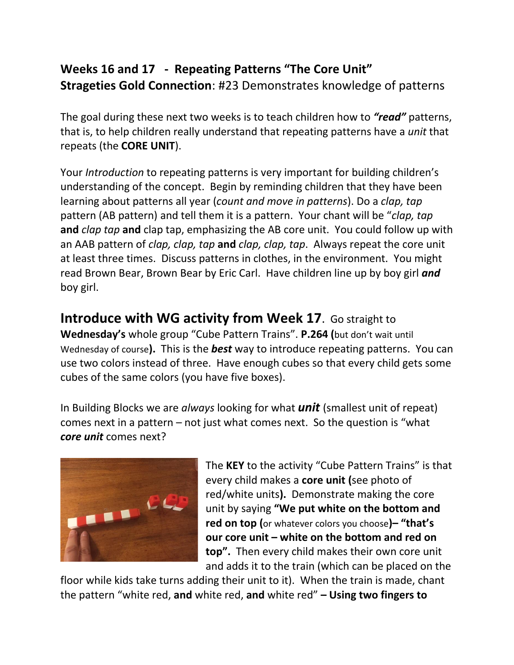## **Weeks 16 and 17 - Repeating Patterns "The Core Unit" Strageties Gold Connection**: #23 Demonstrates knowledge of patterns

The goal during these next two weeks is to teach children how to *"read"* patterns, that is, to help children really understand that repeating patterns have a *unit* that repeats (the **CORE UNIT**).

Your *Introduction* to repeating patterns is very important for building children's understanding of the concept. Begin by reminding children that they have been learning about patterns all year (*count and move in patterns*). Do a *clap, tap* pattern (AB pattern) and tell them it is a pattern. Your chant will be "*clap, tap* **and** *clap tap* **and** clap tap, emphasizing the AB core unit. You could follow up with an AAB pattern of *clap, clap, tap* **and** *clap, clap, tap*. Always repeat the core unit at least three times. Discuss patterns in clothes, in the environment. You might read Brown Bear, Brown Bear by Eric Carl. Have children line up by boy girl *and*  boy girl.

**Introduce with WG activity from Week 17**. Go straight to **Wednesday's** whole group "Cube Pattern Trains". **P.264 (**but don't wait until Wednesday of course**).** This is the *best* way to introduce repeating patterns. You can use two colors instead of three. Have enough cubes so that every child gets some cubes of the same colors (you have five boxes).

In Building Blocks we are *always* looking for what *unit* (smallest unit of repeat) comes next in a pattern – not just what comes next. So the question is "what *core unit* comes next?



The **KEY** to the activity "Cube Pattern Trains" is that every child makes a **core unit (**see photo of red/white units**).** Demonstrate making the core unit by saying **"We put white on the bottom and red on top (**or whatever colors you choose**)– "that's our core unit – white on the bottom and red on top".** Then every child makes their own core unit and adds it to the train (which can be placed on the

floor while kids take turns adding their unit to it). When the train is made, chant the pattern "white red, **and** white red, **and** white red" **– Using two fingers to**